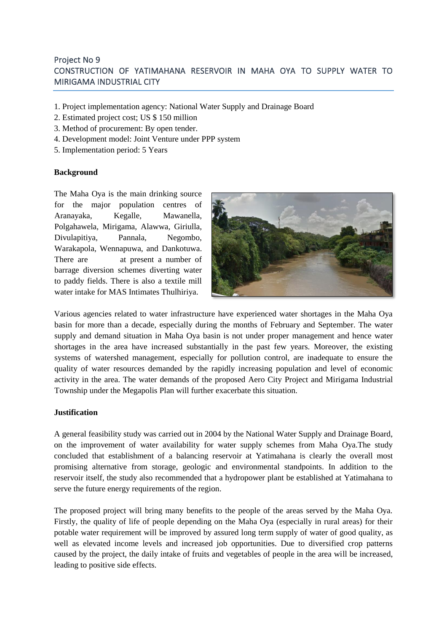# Project No 9 CONSTRUCTION OF YATIMAHANA RESERVOIR IN MAHA OYA TO SUPPLY WATER TO MIRIGAMA INDUSTRIAL CITY

- 1. Project implementation agency: National Water Supply and Drainage Board
- 2. Estimated project cost; US \$ 150 million
- 3. Method of procurement: By open tender.
- 4. Development model: Joint Venture under PPP system
- 5. Implementation period: 5 Years

### **Background**

The Maha Oya is the main drinking source for the major population centres of Aranayaka, Kegalle, Mawanella, Polgahawela, Mirigama, Alawwa, Giriulla, Divulapitiya, Pannala, Negombo, Warakapola, Wennapuwa, and Dankotuwa. There are at present a number of barrage diversion schemes diverting water to paddy fields. There is also a textile mill water intake for MAS Intimates Thulhiriya.



Various agencies related to water infrastructure have experienced water shortages in the Maha Oya basin for more than a decade, especially during the months of February and September. The water supply and demand situation in Maha Oya basin is not under proper management and hence water shortages in the area have increased substantially in the past few years. Moreover, the existing systems of watershed management, especially for pollution control, are inadequate to ensure the quality of water resources demanded by the rapidly increasing population and level of economic activity in the area. The water demands of the proposed Aero City Project and Mirigama Industrial Township under the Megapolis Plan will further exacerbate this situation.

### **Justification**

A general feasibility study was carried out in 2004 by the National Water Supply and Drainage Board, on the improvement of water availability for water supply schemes from Maha Oya.The study concluded that establishment of a balancing reservoir at Yatimahana is clearly the overall most promising alternative from storage, geologic and environmental standpoints. In addition to the reservoir itself, the study also recommended that a hydropower plant be established at Yatimahana to serve the future energy requirements of the region.

The proposed project will bring many benefits to the people of the areas served by the Maha Oya. Firstly, the quality of life of people depending on the Maha Oya (especially in rural areas) for their potable water requirement will be improved by assured long term supply of water of good quality, as well as elevated income levels and increased job opportunities. Due to diversified crop patterns caused by the project, the daily intake of fruits and vegetables of people in the area will be increased, leading to positive side effects.